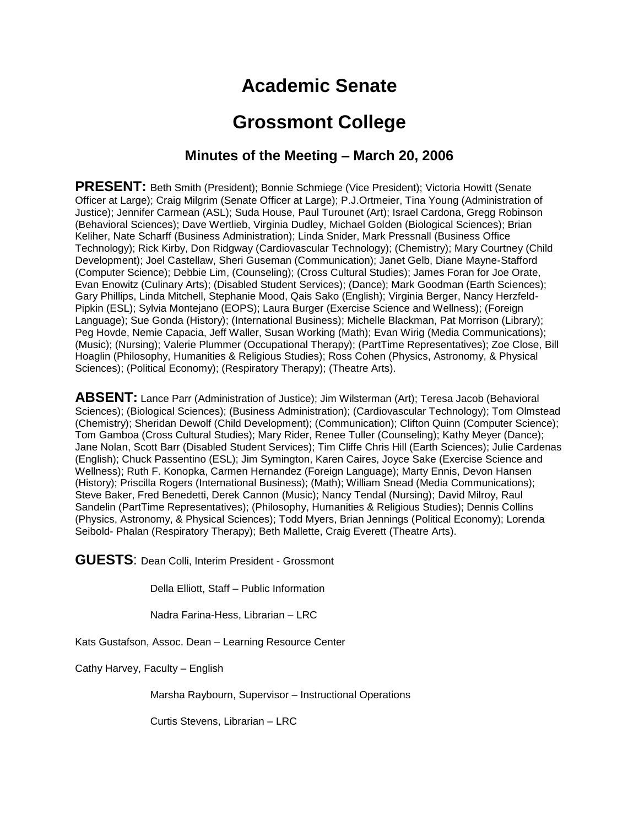# **Academic Senate**

## **Grossmont College**

### **Minutes of the Meeting – March 20, 2006**

PRESENT: Beth Smith (President); Bonnie Schmiege (Vice President); Victoria Howitt (Senate Officer at Large); Craig Milgrim (Senate Officer at Large); P.J.Ortmeier, Tina Young (Administration of Justice); Jennifer Carmean (ASL); Suda House, Paul Turounet (Art); Israel Cardona, Gregg Robinson (Behavioral Sciences); Dave Wertlieb, Virginia Dudley, Michael Golden (Biological Sciences); Brian Keliher, Nate Scharff (Business Administration); Linda Snider, Mark Pressnall (Business Office Technology); Rick Kirby, Don Ridgway (Cardiovascular Technology); (Chemistry); Mary Courtney (Child Development); Joel Castellaw, Sheri Guseman (Communication); Janet Gelb, Diane Mayne-Stafford (Computer Science); Debbie Lim, (Counseling); (Cross Cultural Studies); James Foran for Joe Orate, Evan Enowitz (Culinary Arts); (Disabled Student Services); (Dance); Mark Goodman (Earth Sciences); Gary Phillips, Linda Mitchell, Stephanie Mood, Qais Sako (English); Virginia Berger, Nancy Herzfeld-Pipkin (ESL); Sylvia Montejano (EOPS); Laura Burger (Exercise Science and Wellness); (Foreign Language); Sue Gonda (History); (International Business); Michelle Blackman, Pat Morrison (Library); Peg Hovde, Nemie Capacia, Jeff Waller, Susan Working (Math); Evan Wirig (Media Communications); (Music); (Nursing); Valerie Plummer (Occupational Therapy); (PartTime Representatives); Zoe Close, Bill Hoaglin (Philosophy, Humanities & Religious Studies); Ross Cohen (Physics, Astronomy, & Physical Sciences); (Political Economy); (Respiratory Therapy); (Theatre Arts).

**ABSENT:** Lance Parr (Administration of Justice); Jim Wilsterman (Art); Teresa Jacob (Behavioral Sciences); (Biological Sciences); (Business Administration); (Cardiovascular Technology); Tom Olmstead (Chemistry); Sheridan Dewolf (Child Development); (Communication); Clifton Quinn (Computer Science); Tom Gamboa (Cross Cultural Studies); Mary Rider, Renee Tuller (Counseling); Kathy Meyer (Dance); Jane Nolan, Scott Barr (Disabled Student Services); Tim Cliffe Chris Hill (Earth Sciences); Julie Cardenas (English); Chuck Passentino (ESL); Jim Symington, Karen Caires, Joyce Sake (Exercise Science and Wellness); Ruth F. Konopka, Carmen Hernandez (Foreign Language); Marty Ennis, Devon Hansen (History); Priscilla Rogers (International Business); (Math); William Snead (Media Communications); Steve Baker, Fred Benedetti, Derek Cannon (Music); Nancy Tendal (Nursing); David Milroy, Raul Sandelin (PartTime Representatives); (Philosophy, Humanities & Religious Studies); Dennis Collins (Physics, Astronomy, & Physical Sciences); Todd Myers, Brian Jennings (Political Economy); Lorenda Seibold- Phalan (Respiratory Therapy); Beth Mallette, Craig Everett (Theatre Arts).

**GUESTS**: Dean Colli, Interim President - Grossmont

Della Elliott, Staff – Public Information

Nadra Farina-Hess, Librarian – LRC

Kats Gustafson, Assoc. Dean – Learning Resource Center

Cathy Harvey, Faculty – English

Marsha Raybourn, Supervisor – Instructional Operations

Curtis Stevens, Librarian – LRC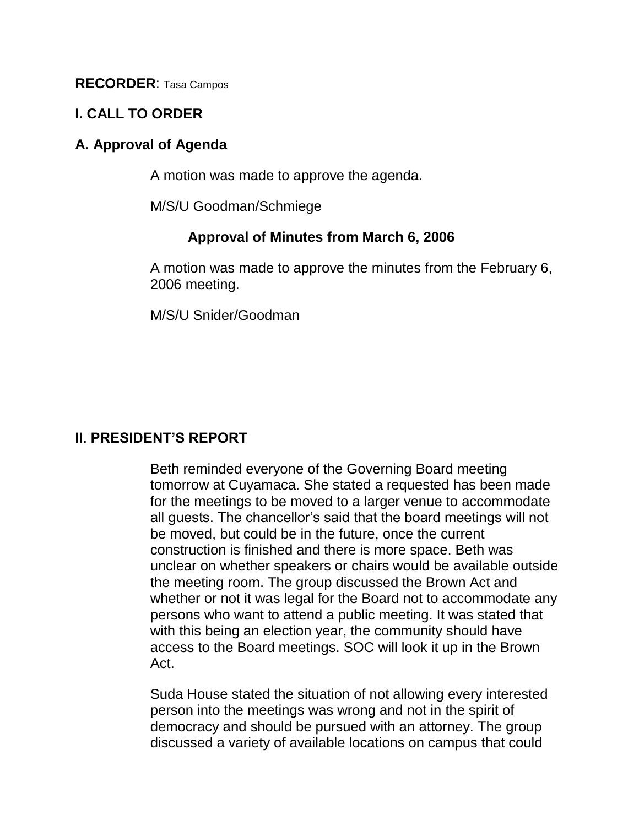**RECORDER**: Tasa Campos

#### **I. CALL TO ORDER**

#### **A. Approval of Agenda**

A motion was made to approve the agenda.

M/S/U Goodman/Schmiege

#### **Approval of Minutes from March 6, 2006**

A motion was made to approve the minutes from the February 6, 2006 meeting.

M/S/U Snider/Goodman

## **II. PRESIDENT'S REPORT**

Beth reminded everyone of the Governing Board meeting tomorrow at Cuyamaca. She stated a requested has been made for the meetings to be moved to a larger venue to accommodate all guests. The chancellor's said that the board meetings will not be moved, but could be in the future, once the current construction is finished and there is more space. Beth was unclear on whether speakers or chairs would be available outside the meeting room. The group discussed the Brown Act and whether or not it was legal for the Board not to accommodate any persons who want to attend a public meeting. It was stated that with this being an election year, the community should have access to the Board meetings. SOC will look it up in the Brown Act.

Suda House stated the situation of not allowing every interested person into the meetings was wrong and not in the spirit of democracy and should be pursued with an attorney. The group discussed a variety of available locations on campus that could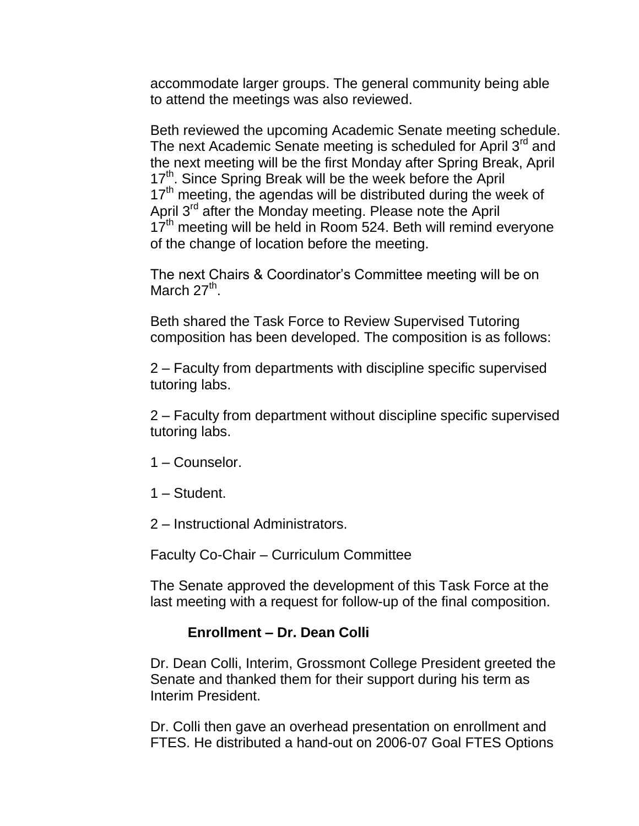accommodate larger groups. The general community being able to attend the meetings was also reviewed.

Beth reviewed the upcoming Academic Senate meeting schedule. The next Academic Senate meeting is scheduled for April 3<sup>rd</sup> and the next meeting will be the first Monday after Spring Break, April 17<sup>th</sup>. Since Spring Break will be the week before the April  $17<sup>th</sup>$  meeting, the agendas will be distributed during the week of April 3<sup>rd</sup> after the Monday meeting. Please note the April  $17<sup>th</sup>$  meeting will be held in Room 524. Beth will remind everyone of the change of location before the meeting.

The next Chairs & Coordinator's Committee meeting will be on March 27<sup>th</sup>.

Beth shared the Task Force to Review Supervised Tutoring composition has been developed. The composition is as follows:

2 – Faculty from departments with discipline specific supervised tutoring labs.

2 – Faculty from department without discipline specific supervised tutoring labs.

- 1 Counselor.
- 1 Student.
- 2 Instructional Administrators.

Faculty Co-Chair – Curriculum Committee

The Senate approved the development of this Task Force at the last meeting with a request for follow-up of the final composition.

#### **Enrollment – Dr. Dean Colli**

Dr. Dean Colli, Interim, Grossmont College President greeted the Senate and thanked them for their support during his term as Interim President.

Dr. Colli then gave an overhead presentation on enrollment and FTES. He distributed a hand-out on 2006-07 Goal FTES Options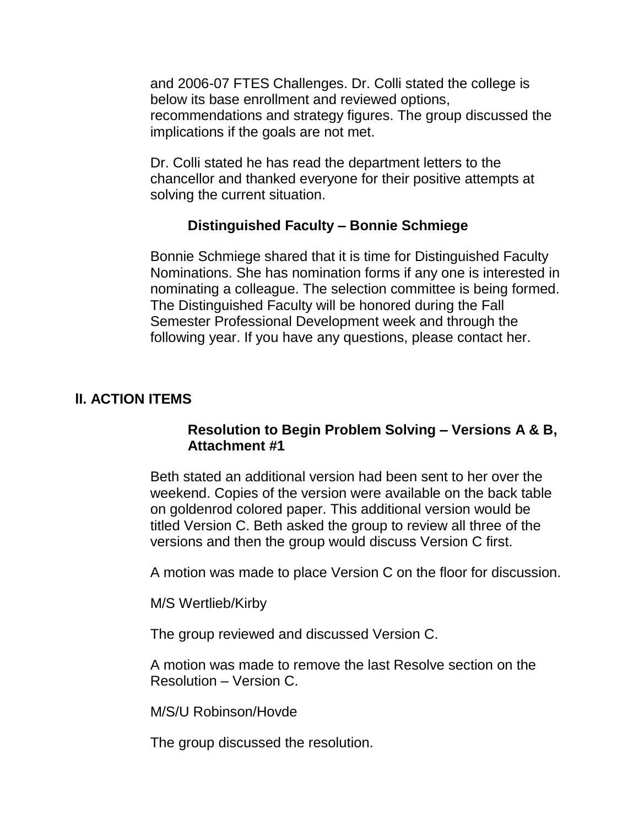and 2006-07 FTES Challenges. Dr. Colli stated the college is below its base enrollment and reviewed options, recommendations and strategy figures. The group discussed the implications if the goals are not met.

Dr. Colli stated he has read the department letters to the chancellor and thanked everyone for their positive attempts at solving the current situation.

## **Distinguished Faculty – Bonnie Schmiege**

Bonnie Schmiege shared that it is time for Distinguished Faculty Nominations. She has nomination forms if any one is interested in nominating a colleague. The selection committee is being formed. The Distinguished Faculty will be honored during the Fall Semester Professional Development week and through the following year. If you have any questions, please contact her.

### **lI. ACTION ITEMS**

### **Resolution to Begin Problem Solving – Versions A & B, Attachment #1**

Beth stated an additional version had been sent to her over the weekend. Copies of the version were available on the back table on goldenrod colored paper. This additional version would be titled Version C. Beth asked the group to review all three of the versions and then the group would discuss Version C first.

A motion was made to place Version C on the floor for discussion.

M/S Wertlieb/Kirby

The group reviewed and discussed Version C.

A motion was made to remove the last Resolve section on the Resolution – Version C.

M/S/U Robinson/Hovde

The group discussed the resolution.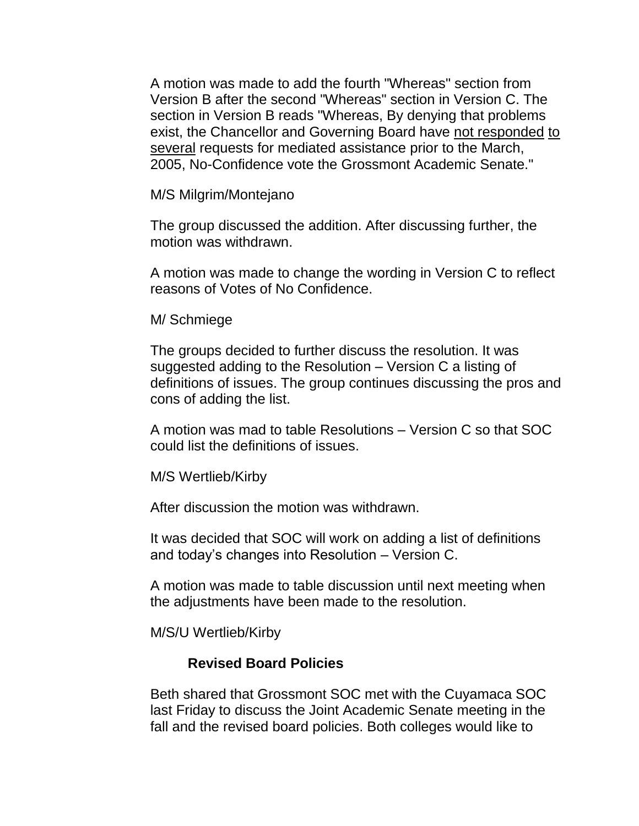A motion was made to add the fourth "Whereas" section from Version B after the second "Whereas" section in Version C. The section in Version B reads "Whereas, By denying that problems exist, the Chancellor and Governing Board have not responded to several requests for mediated assistance prior to the March, 2005, No-Confidence vote the Grossmont Academic Senate."

M/S Milgrim/Montejano

The group discussed the addition. After discussing further, the motion was withdrawn.

A motion was made to change the wording in Version C to reflect reasons of Votes of No Confidence.

M/ Schmiege

The groups decided to further discuss the resolution. It was suggested adding to the Resolution – Version C a listing of definitions of issues. The group continues discussing the pros and cons of adding the list.

A motion was mad to table Resolutions – Version C so that SOC could list the definitions of issues.

M/S Wertlieb/Kirby

After discussion the motion was withdrawn.

It was decided that SOC will work on adding a list of definitions and today's changes into Resolution – Version C.

A motion was made to table discussion until next meeting when the adjustments have been made to the resolution.

M/S/U Wertlieb/Kirby

#### **Revised Board Policies**

Beth shared that Grossmont SOC met with the Cuyamaca SOC last Friday to discuss the Joint Academic Senate meeting in the fall and the revised board policies. Both colleges would like to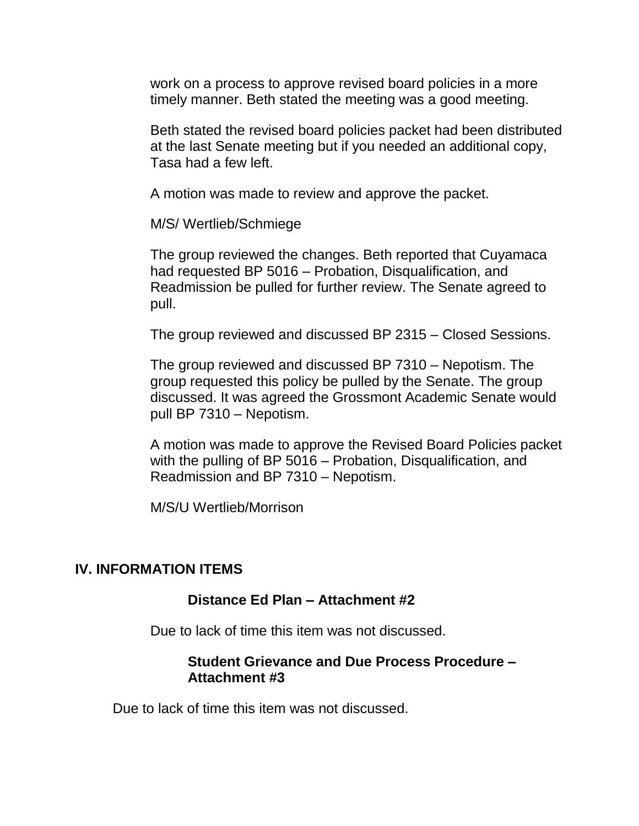work on a process to approve revised board policies in a more timely manner. Beth stated the meeting was a good meeting.

Beth stated the revised board policies packet had been distributed at the last Senate meeting but if you needed an additional copy, Tasa had a few left.

A motion was made to review and approve the packet.

M/S/ Wertlieb/Schmiege

The group reviewed the changes. Beth reported that Cuyamaca had requested BP 5016 – Probation, Disqualification, and Readmission be pulled for further review. The Senate agreed to pull.

The group reviewed and discussed BP 2315 – Closed Sessions.

The group reviewed and discussed BP 7310 – Nepotism. The group requested this policy be pulled by the Senate. The group discussed. It was agreed the Grossmont Academic Senate would pull BP 7310 – Nepotism.

A motion was made to approve the Revised Board Policies packet with the pulling of BP 5016 – Probation, Disqualification, and Readmission and BP 7310 – Nepotism.

M/S/U Wertlieb/Morrison

#### **IV. INFORMATION ITEMS**

#### **Distance Ed Plan – Attachment #2**

Due to lack of time this item was not discussed.

#### **Student Grievance and Due Process Procedure – Attachment #3**

Due to lack of time this item was not discussed.